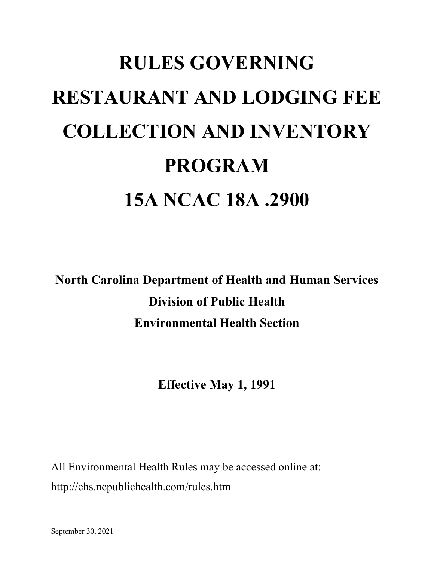## **RULES GOVERNING RESTAURANT AND LODGING FEE COLLECTION AND INVENTORY PROGRAM 15A NCAC 18A .2900**

**North Carolina Department of Health and Human Services Division of Public Health Environmental Health Section**

**Effective May 1, 1991**

All Environmental Health Rules may be accessed online at: http://ehs.ncpublichealth.com/rules.htm